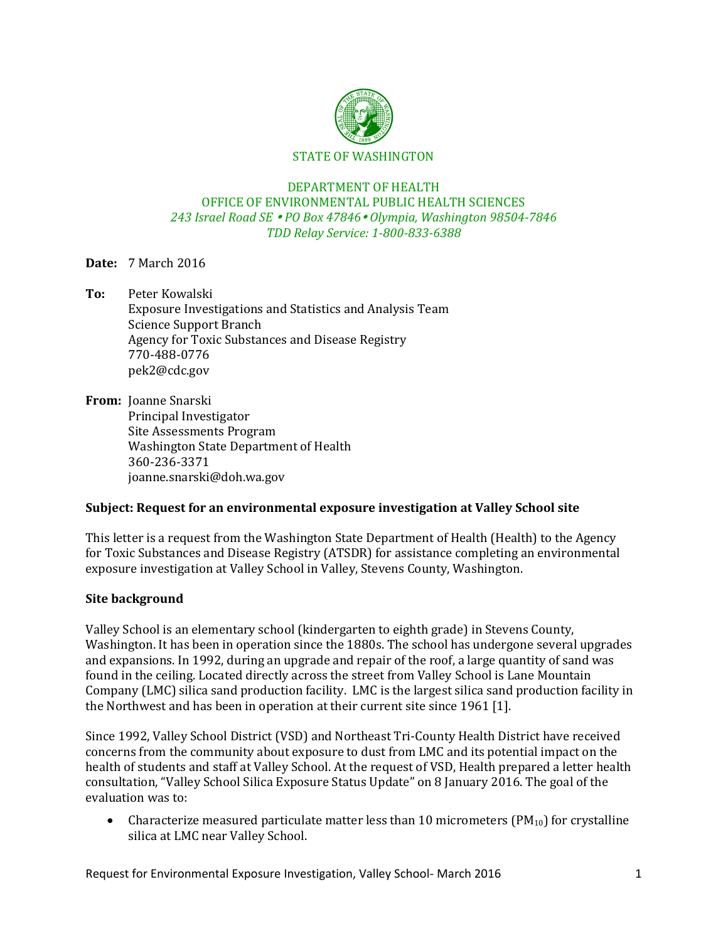

#### DEPARTMENT OF HEALTH OFFICE OF ENVIRONMENTAL PUBLIC HEALTH SCIENCES *243 Israel Road SE PO Box 47846 Olympia, Washington 98504-7846 TDD Relay Service: 1-800-833-6388*

# **Date:** 7 March 2016

**To:** Peter Kowalski Exposure Investigations and Statistics and Analysis Team Science Support Branch Agency for Toxic Substances and Disease Registry 770-488-0776 pek2@cdc.gov

**From:** Joanne Snarski Principal Investigator Site Assessments Program Washington State Department of Health 360-236-3371 joanne.snarski@doh.wa.gov

## **Subject: Request for an environmental exposure investigation at Valley School site**

This letter is a request from the Washington State Department of Health (Health) to the Agency for Toxic Substances and Disease Registry (ATSDR) for assistance completing an environmental exposure investigation at Valley School in Valley, Stevens County, Washington.

#### **Site background**

Valley School is an elementary school (kindergarten to eighth grade) in Stevens County, Washington. It has been in operation since the 1880s. The school has undergone several upgrades and expansions. In 1992, during an upgrade and repair of the roof, a large quantity of sand was found in the ceiling. Located directly across the street from Valley School is Lane Mountain Company (LMC) silica sand production facility. LMC is the largest silica sand production facility in the Northwest and has been in operation at their current site since 1961 [1].

Since 1992, Valley School District (VSD) and Northeast Tri-County Health District have received concerns from the community about exposure to dust from LMC and its potential impact on the health of students and staff at Valley School. At the request of VSD, Health prepared a letter health consultation, "Valley School Silica Exposure Status Update" on 8 January 2016. The goal of the evaluation was to:

• Characterize measured particulate matter less than 10 micrometers  $(PM_{10})$  for crystalline silica at LMC near Valley School.

Request for Environmental Exposure Investigation, Valley School- March 2016 1997 1998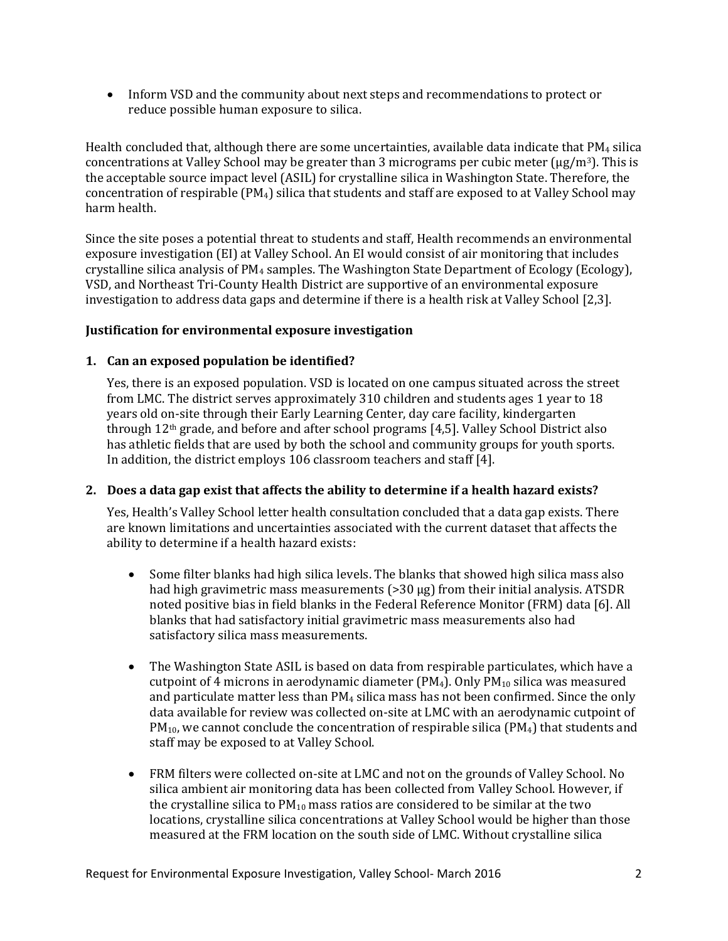• Inform VSD and the community about next steps and recommendations to protect or reduce possible human exposure to silica.

Health concluded that, although there are some uncertainties, available data indicate that  $PM_4$  silica concentrations at Valley School may be greater than 3 micrograms per cubic meter  $(\mu g/m^3)$ . This is the acceptable source impact level (ASIL) for crystalline silica in Washington State. Therefore, the concentration of respirable (PM4) silica that students and staff are exposed to at Valley School may harm health.

Since the site poses a potential threat to students and staff, Health recommends an environmental exposure investigation (EI) at Valley School. An EI would consist of air monitoring that includes crystalline silica analysis of PM<sup>4</sup> samples. The Washington State Department of Ecology (Ecology), VSD, and Northeast Tri-County Health District are supportive of an environmental exposure investigation to address data gaps and determine if there is a health risk at Valley School [2,3].

## **Justification for environmental exposure investigation**

# **1. Can an exposed population be identified?**

Yes, there is an exposed population. VSD is located on one campus situated across the street from LMC. The district serves approximately 310 children and students ages 1 year to 18 years old on-site through their Early Learning Center, day care facility, kindergarten through 12th grade, and before and after school programs [4,5]. Valley School District also has athletic fields that are used by both the school and community groups for youth sports. In addition, the district employs 106 classroom teachers and staff [4].

## **2. Does a data gap exist that affects the ability to determine if a health hazard exists?**

Yes, Health's Valley School letter health consultation concluded that a data gap exists. There are known limitations and uncertainties associated with the current dataset that affects the ability to determine if a health hazard exists:

- Some filter blanks had high silica levels. The blanks that showed high silica mass also had high gravimetric mass measurements (>30 µg) from their initial analysis. ATSDR noted positive bias in field blanks in the Federal Reference Monitor (FRM) data [6]. All blanks that had satisfactory initial gravimetric mass measurements also had satisfactory silica mass measurements.
- The Washington State ASIL is based on data from respirable particulates, which have a cutpoint of 4 microns in aerodynamic diameter  $(PM_4)$ . Only  $PM_{10}$  silica was measured and particulate matter less than  $PM<sub>4</sub>$  silica mass has not been confirmed. Since the only data available for review was collected on-site at LMC with an aerodynamic cutpoint of  $PM<sub>10</sub>$ , we cannot conclude the concentration of respirable silica (PM<sub>4</sub>) that students and staff may be exposed to at Valley School.
- FRM filters were collected on-site at LMC and not on the grounds of Valley School. No silica ambient air monitoring data has been collected from Valley School. However, if the crystalline silica to  $PM_{10}$  mass ratios are considered to be similar at the two locations, crystalline silica concentrations at Valley School would be higher than those measured at the FRM location on the south side of LMC. Without crystalline silica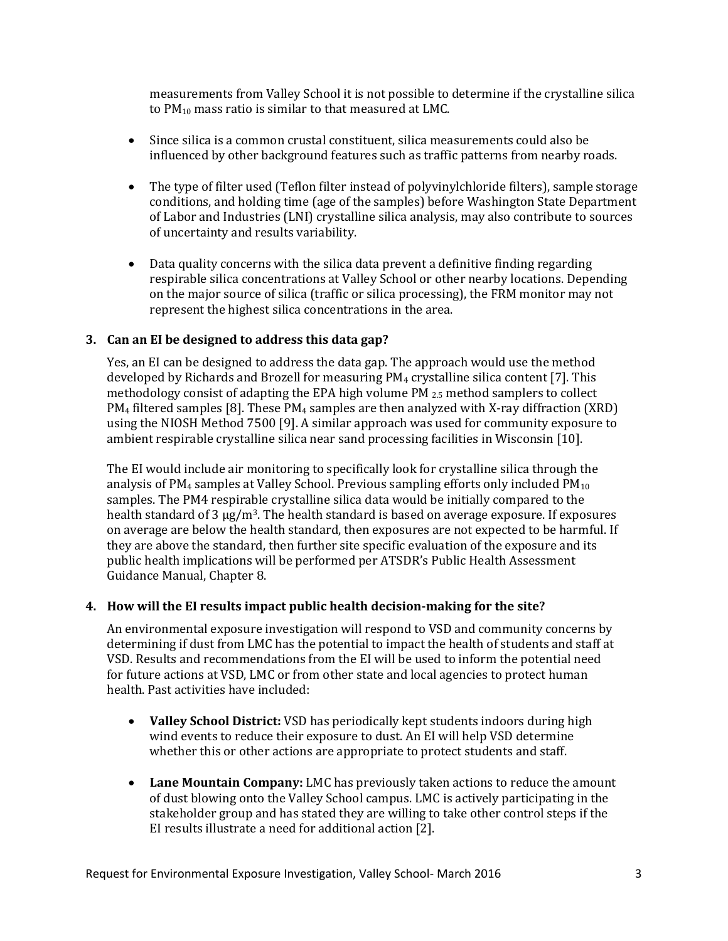measurements from Valley School it is not possible to determine if the crystalline silica to PM<sup>10</sup> mass ratio is similar to that measured at LMC.

- Since silica is a common crustal constituent, silica measurements could also be influenced by other background features such as traffic patterns from nearby roads.
- The type of filter used (Teflon filter instead of polyvinylchloride filters), sample storage conditions, and holding time (age of the samples) before Washington State Department of Labor and Industries (LNI) crystalline silica analysis, may also contribute to sources of uncertainty and results variability.
- Data quality concerns with the silica data prevent a definitive finding regarding respirable silica concentrations at Valley School or other nearby locations. Depending on the major source of silica (traffic or silica processing), the FRM monitor may not represent the highest silica concentrations in the area.

## **3. Can an EI be designed to address this data gap?**

Yes, an EI can be designed to address the data gap. The approach would use the method developed by Richards and Brozell for measuring  $PM<sub>4</sub>$  crystalline silica content [7]. This methodology consist of adapting the EPA high volume PM  $_{2.5}$  method samplers to collect  $PM<sub>4</sub>$  filtered samples [8]. These PM<sub>4</sub> samples are then analyzed with X-ray diffraction (XRD) using the NIOSH Method 7500 [9]. A similar approach was used for community exposure to ambient respirable crystalline silica near sand processing facilities in Wisconsin [10].

The EI would include air monitoring to specifically look for crystalline silica through the analysis of PM<sub>4</sub> samples at Valley School. Previous sampling efforts only included  $PM_{10}$ samples. The PM4 respirable crystalline silica data would be initially compared to the health standard of 3 µg/m<sup>3</sup>. The health standard is based on average exposure. If exposures on average are below the health standard, then exposures are not expected to be harmful. If they are above the standard, then further site specific evaluation of the exposure and its public health implications will be performed per ATSDR's Public Health Assessment Guidance Manual, Chapter 8.

#### **4. How will the EI results impact public health decision-making for the site?**

An environmental exposure investigation will respond to VSD and community concerns by determining if dust from LMC has the potential to impact the health of students and staff at VSD. Results and recommendations from the EI will be used to inform the potential need for future actions at VSD, LMC or from other state and local agencies to protect human health. Past activities have included:

- **Valley School District:** VSD has periodically kept students indoors during high wind events to reduce their exposure to dust. An EI will help VSD determine whether this or other actions are appropriate to protect students and staff.
- **Lane Mountain Company:** LMC has previously taken actions to reduce the amount of dust blowing onto the Valley School campus. LMC is actively participating in the stakeholder group and has stated they are willing to take other control steps if the EI results illustrate a need for additional action [2].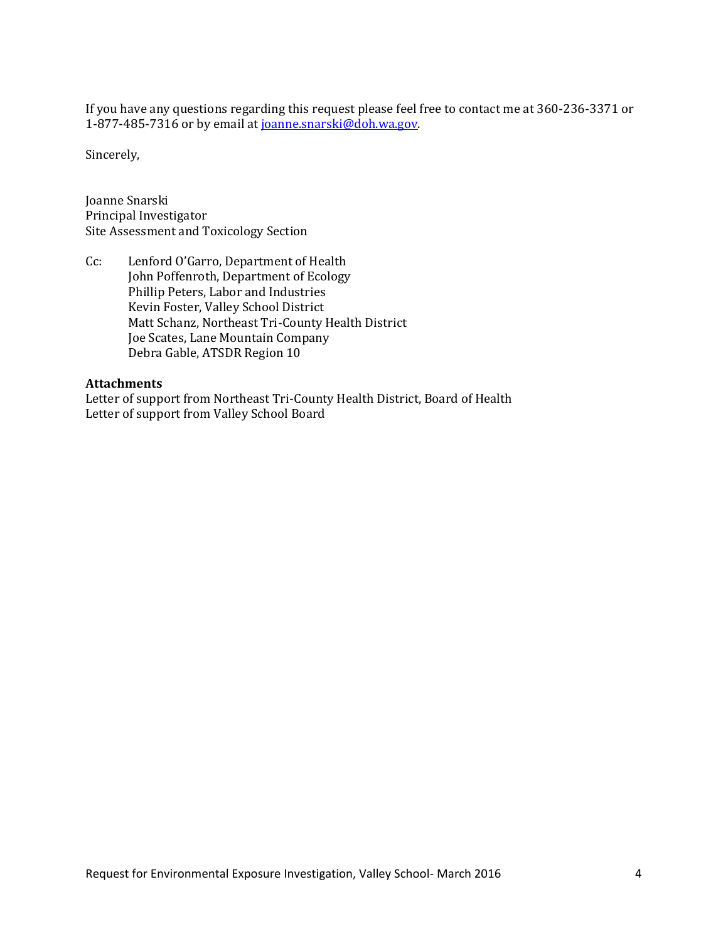If you have any questions regarding this request please feel free to contact me at 360-236-3371 or 1-877-485-7316 or by email a[t joanne.snarski@doh.wa.gov.](mailto:joanne.snarski@doh.wa.gov)

Sincerely,

Joanne Snarski Principal Investigator Site Assessment and Toxicology Section

Cc: Lenford O'Garro, Department of Health John Poffenroth, Department of Ecology Phillip Peters, Labor and Industries Kevin Foster, Valley School District Matt Schanz, Northeast Tri-County Health District Joe Scates, Lane Mountain Company Debra Gable, ATSDR Region 10

#### **Attachments**

Letter of support from Northeast Tri-County Health District, Board of Health Letter of support from Valley School Board